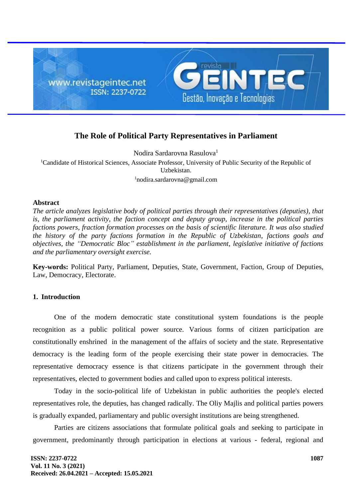

# **The Role of Political Party Representatives in Parliament**

Nodira Sardarovna Rasulova<sup>1</sup>

<sup>1</sup>Candidate of Historical Sciences, Associate Professor, University of Public Security of the Republic of Uzbekistan. <sup>1</sup>nodira.sardarovna@gmail.com

## **Abstract**

*The article analyzes legislative body of political parties through their representatives (deputies), that is, the parliament activity, the faction concept and deputy group, increase in the political parties factions powers, fraction formation processes on the basis of scientific literature. It was also studied the history of the party factions formation in the Republic of Uzbekistan, factions goals and objectives, the "Democratic Bloc" establishment in the parliament, legislative initiative of factions and the parliamentary oversight exercise.*

**Key-words:** Political Party, Parliament, Deputies, State, Government, Faction, Group of Deputies, Law, Democracy, Electorate.

# **1. Introduction**

One of the modern democratic state constitutional system foundations is the people recognition as a public political power source. Various forms of citizen participation are constitutionally enshrined in the management of the affairs of society and the state. Representative democracy is the leading form of the people exercising their state power in democracies. The representative democracy essence is that citizens participate in the government through their representatives, elected to government bodies and called upon to express political interests.

Today in the socio-political life of Uzbekistan in public authorities the people's elected representatives role, the deputies, has changed radically. The Oliy Majlis and political parties powers is gradually expanded, parliamentary and public oversight institutions are being strengthened.

Parties are citizens associations that formulate political goals and seeking to participate in government, predominantly through participation in elections at various - federal, regional and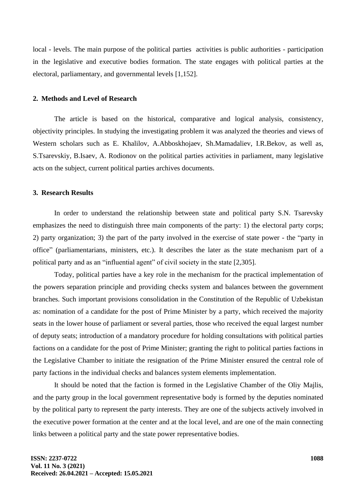local - levels. The main purpose of the political parties activities is public authorities - participation in the legislative and executive bodies formation. The state engages with political parties at the electoral, parliamentary, and governmental levels [1,152].

#### **2. Methods and Level of Research**

The article is based on the historical, comparative and logical analysis, consistency, objectivity principles. In studying the investigating problem it was analyzed the theories and views of Western scholars such as E. Khalilov, A.Abboskhojaev, Sh.Mamadaliev, I.R.Bekov, as well as, S.Tsarevskiy, B.Isaev, A. Rodionov on the political parties activities in parliament, many legislative acts on the subject, current political parties archives documents.

## **3. Research Results**

In order to understand the relationship between state and political party S.N. Tsarevsky emphasizes the need to distinguish three main components of the party: 1) the electoral party corps; 2) party organization; 3) the part of the party involved in the exercise of state power - the "party in office" (parliamentarians, ministers, etc.). It describes the later as the state mechanism part of a political party and as an "influential agent" of civil society in the state [2,305].

Today, political parties have a key role in the mechanism for the practical implementation of the powers separation principle and providing checks system and balances between the government branches. Such important provisions consolidation in the Constitution of the Republic of Uzbekistan as: nomination of a candidate for the post of Prime Minister by a party, which received the majority seats in the lower house of parliament or several parties, those who received the equal largest number of deputy seats; introduction of a mandatory procedure for holding consultations with political parties factions on a candidate for the post of Prime Minister; granting the right to political parties factions in the Legislative Chamber to initiate the resignation of the Prime Minister ensured the central role of party factions in the individual checks and balances system elements implementation.

It should be noted that the faction is formed in the Legislative Chamber of the Oliy Majlis, and the party group in the local government representative body is formed by the deputies nominated by the political party to represent the party interests. They are one of the subjects actively involved in the executive power formation at the center and at the local level, and are one of the main connecting links between a political party and the state power representative bodies.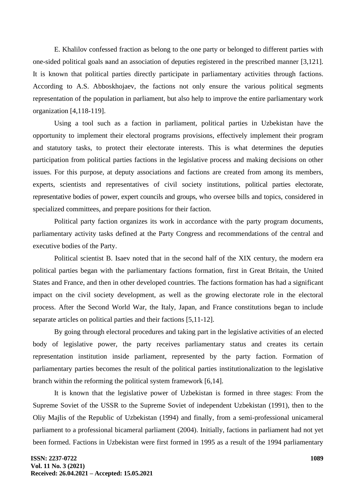E. Khalilov confessed fraction as belong to the one party or belonged to different parties with one-sided political goals вand an association of deputies registered in the prescribed manner [3,121]. It is known that political parties directly participate in parliamentary activities through factions. According to A.S. Abboskhojaev, the factions not only ensure the various political segments representation of the population in parliament, but also help to improve the entire parliamentary work organization [4,118-119].

Using a tool such as a faction in parliament, political parties in Uzbekistan have the opportunity to implement their electoral programs provisions, effectively implement their program and statutory tasks, to protect their electorate interests. This is what determines the deputies participation from political parties factions in the legislative process and making decisions on other issues. For this purpose, at deputy associations and factions are created from among its members, experts, scientists and representatives of civil society institutions, political parties electorate, representative bodies of power, expert councils and groups, who oversee bills and topics, considered in specialized committees, and prepare positions for their faction.

Political party faction organizes its work in accordance with the party program documents, parliamentary activity tasks defined at the Party Congress and recommendations of the central and executive bodies of the Party.

Political scientist B. Isaev noted that in the second half of the XIX century, the modern era political parties began with the parliamentary factions formation, first in Great Britain, the United States and France, and then in other developed countries. The factions formation has had a significant impact on the civil society development, as well as the growing electorate role in the electoral process. After the Second World War, the Italy, Japan, and France constitutions began to include separate articles on political parties and their factions [5,11-12].

By going through electoral procedures and taking part in the legislative activities of an elected body of legislative power, the party receives parliamentary status and creates its certain representation institution inside parliament, represented by the party faction. Formation of parliamentary parties becomes the result of the political parties institutionalization to the legislative branch within the reforming the political system framework [6,14].

It is known that the legislative power of Uzbekistan is formed in three stages: From the Supreme Soviet of the USSR to the Supreme Soviet of independent Uzbekistan (1991), then to the Oliy Majlis of the Republic of Uzbekistan (1994) and finally, from a semi-professional unicameral parliament to a professional bicameral parliament (2004). Initially, factions in parliament had not yet been formed. Factions in Uzbekistan were first formed in 1995 as a result of the 1994 parliamentary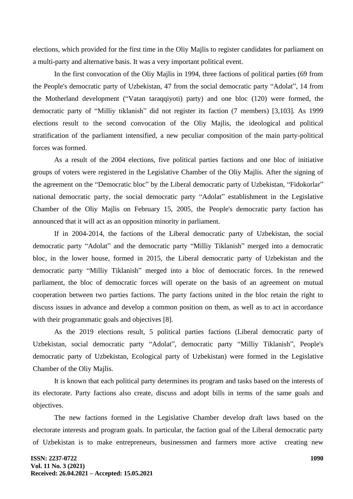elections, which provided for the first time in the Oliy Majlis to register candidates for parliament on a multi-party and alternative basis. It was a very important political event.

In the first convocation of the Oliy Majlis in 1994, three factions of political parties (69 from the People's democratic party of Uzbekistan, 47 from the social democratic party "Adolat", 14 from the Motherland development ("Vatan taraqqiyoti) party) and one bloc (120) were formed, the democratic party of "Milliy tiklanish" did not register its faction (7 members) [3,103]. As 1999 elections result to the second convocation of the Oliy Majlis, the ideological and political stratification of the parliament intensified, a new peculiar composition of the main party-political forces was formed.

As a result of the 2004 elections, five political parties factions and one bloc of initiative groups of voters were registered in the Legislative Chamber of the Oliy Majlis. After the signing of the agreement on the "Democratic bloc" by the Liberal democratic party of Uzbekistan, "Fidokorlar" national democratic party, the social democratic party "Adolat" establishment in the Legislative Chamber of the Oliy Majlis on February 15, 2005, the People's democratic party faction has announced that it will act as an opposition minority in parliament.

If in 2004-2014, the factions of the Liberal democratic party of Uzbekistan, the social democratic party "Adolat" and the democratic party "Milliy Tiklanish" merged into a democratic bloc, in the lower house, formed in 2015, the Liberal democratic party of Uzbekistan and the democratic party "Milliy Tiklanish" merged into a bloc of democratic forces. In the renewed parliament, the bloc of democratic forces will operate on the basis of an agreement on mutual cooperation between two parties factions. The party factions united in the bloc retain the right to discuss issues in advance and develop a common position on them, as well as to act in accordance with their programmatic goals and objectives [8].

As the 2019 elections result, 5 political parties factions (Liberal democratic party of Uzbekistan, social democratic party "Adolat", democratic party "Milliy Tiklanish", People's democratic party of Uzbekistan, Ecological party of Uzbekistan) were formed in the Legislative Chamber of the Oliy Majlis.

It is known that each political party determines its program and tasks based on the interests of its electorate. Party factions also create, discuss and adopt bills in terms of the same goals and objectives.

The new factions formed in the Legislative Chamber develop draft laws based on the electorate interests and program goals. In particular, the faction goal of the Liberal democratic party of Uzbekistan is to make entrepreneurs, businessmen and farmers more active creating new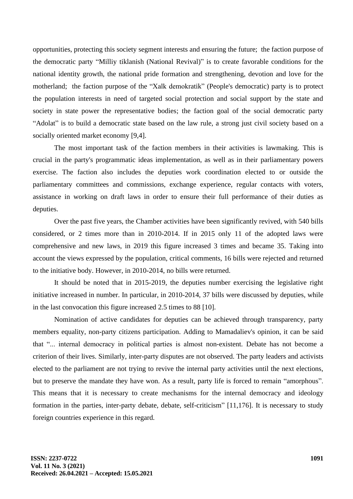opportunities, protecting this society segment interests and ensuring the future; the faction purpose of the democratic party "Milliy tiklanish (National Revival)" is to create favorable conditions for the national identity growth, the national pride formation and strengthening, devotion and love for the motherland; the faction purpose of the "Xalk demokratik" (People's democratic) party is to protect the population interests in need of targeted social protection and social support by the state and society in state power the representative bodies; the faction goal of the social democratic party "Adolat" is to build a democratic state based on the law rule, a strong just civil society based on a socially oriented market economy [9,4].

The most important task of the faction members in their activities is lawmaking. This is crucial in the party's programmatic ideas implementation, as well as in their parliamentary powers exercise. The faction also includes the deputies work coordination elected to or outside the parliamentary committees and commissions, exchange experience, regular contacts with voters, assistance in working on draft laws in order to ensure their full performance of their duties as deputies.

Over the past five years, the Chamber activities have been significantly revived, with 540 bills considered, or 2 times more than in 2010-2014. If in 2015 only 11 of the adopted laws were comprehensive and new laws, in 2019 this figure increased 3 times and became 35. Taking into account the views expressed by the population, critical comments, 16 bills were rejected and returned to the initiative body. However, in 2010-2014, no bills were returned.

It should be noted that in 2015-2019, the deputies number exercising the legislative right initiative increased in number. In particular, in 2010-2014, 37 bills were discussed by deputies, while in the last convocation this figure increased 2.5 times to 88 [10].

Nomination of active candidates for deputies can be achieved through transparency, party members equality, non-party citizens participation. Adding to Mamadaliev's opinion, it can be said that "... internal democracy in political parties is almost non-existent. Debate has not become a criterion of their lives. Similarly, inter-party disputes are not observed. The party leaders and activists elected to the parliament are not trying to revive the internal party activities until the next elections, but to preserve the mandate they have won. As a result, party life is forced to remain "amorphous". This means that it is necessary to create mechanisms for the internal democracy and ideology formation in the parties, inter-party debate, debate, self-criticism" [11,176]. It is necessary to study foreign countries experience in this regard.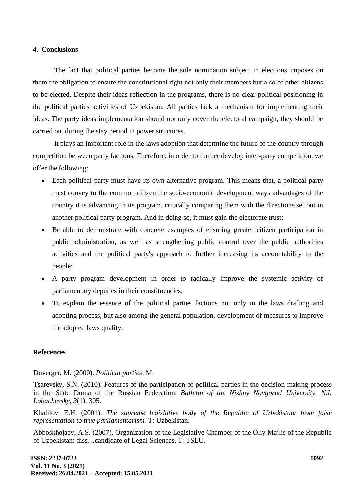# **4. Conclusions**

The fact that political parties become the sole nomination subject in elections imposes on them the obligation to ensure the constitutional right not only their members but also of other citizens to be elected. Despite their ideas reflection in the programs, there is no clear political positioning in the political parties activities of Uzbekistan. All parties lack a mechanism for implementing their ideas. The party ideas implementation should not only cover the electoral campaign, they should be carried out during the stay period in power structures.

It plays an important role in the laws adoption that determine the future of the country through competition between party factions. Therefore, in order to further develop inter-party competition, we offer the following:

- Each political party must have its own alternative program. This means that, a political party must convey to the common citizen the socio-economic development ways advantages of the country it is advancing in its program, critically comparing them with the directions set out in another political party program. And in doing so, it must gain the electorate trust;
- Be able to demonstrate with concrete examples of ensuring greater citizen participation in public administration, as well as strengthening public control over the public authorities activities and the political party's approach to further increasing its accountability to the people;
- A party program development in order to radically improve the systemic activity of parliamentary deputies in their constituencies;
- To explain the essence of the political parties factions not only in the laws drafting and adopting process, but also among the general population, development of measures to improve the adopted laws quality.

#### **References**

Duverger, M. (2000). *Political parties*. М.

Tsarevsky, S.N. (2010). Features of the participation of political parties in the decision-making process in the State Duma of the Russian Federation. *Bulletin of the Nizhny Novgorod University. N.I. Lobachevsky, 3*(1). 305.

Khalilov, E.H. (2001). *The supreme legislative body of the Republic of Uzbekistan: from false representation to true parliamentarism.* T: Uzbekistan.

Abboskhojaev, A.S. (2007). Organization of the Legislative Chamber of the Oliy Majlis of the Republic of Uzbekistan: diss…candidate of Legal Sciences. T: TSLU.